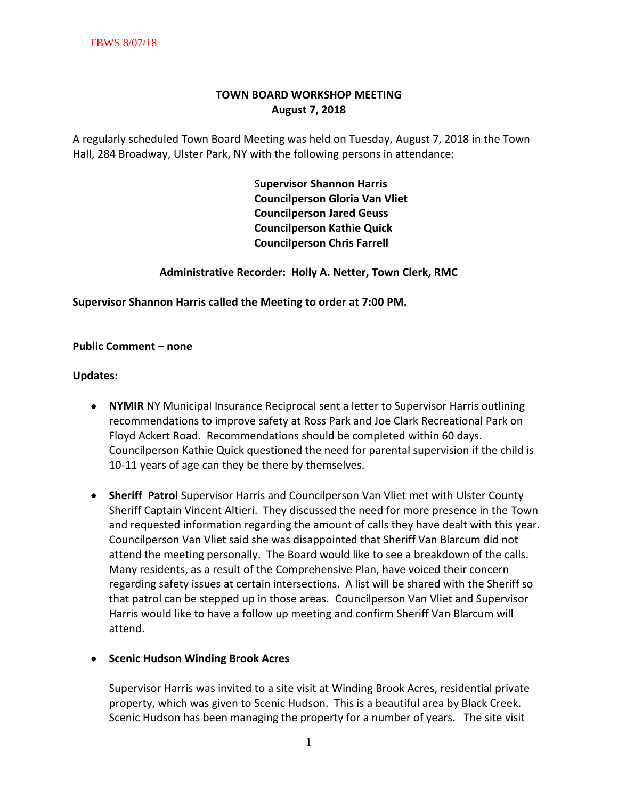# **TOWN BOARD WORKSHOP MEETING August 7, 2018**

A regularly scheduled Town Board Meeting was held on Tuesday, August 7, 2018 in the Town Hall, 284 Broadway, Ulster Park, NY with the following persons in attendance:

> S**upervisor Shannon Harris Councilperson Gloria Van Vliet Councilperson Jared Geuss Councilperson Kathie Quick Councilperson Chris Farrell**

**Administrative Recorder: Holly A. Netter, Town Clerk, RMC**

**Supervisor Shannon Harris called the Meeting to order at 7:00 PM.** 

### **Public Comment – none**

### **Updates:**

- **NYMIR** NY Municipal Insurance Reciprocal sent a letter to Supervisor Harris outlining recommendations to improve safety at Ross Park and Joe Clark Recreational Park on Floyd Ackert Road. Recommendations should be completed within 60 days. Councilperson Kathie Quick questioned the need for parental supervision if the child is 10-11 years of age can they be there by themselves.
- **Sheriff Patrol** Supervisor Harris and Councilperson Van Vliet met with Ulster County Sheriff Captain Vincent Altieri. They discussed the need for more presence in the Town and requested information regarding the amount of calls they have dealt with this year. Councilperson Van Vliet said she was disappointed that Sheriff Van Blarcum did not attend the meeting personally. The Board would like to see a breakdown of the calls. Many residents, as a result of the Comprehensive Plan, have voiced their concern regarding safety issues at certain intersections. A list will be shared with the Sheriff so that patrol can be stepped up in those areas. Councilperson Van Vliet and Supervisor Harris would like to have a follow up meeting and confirm Sheriff Van Blarcum will attend.

## **• Scenic Hudson Winding Brook Acres**

Supervisor Harris was invited to a site visit at Winding Brook Acres, residential private property, which was given to Scenic Hudson. This is a beautiful area by Black Creek. Scenic Hudson has been managing the property for a number of years. The site visit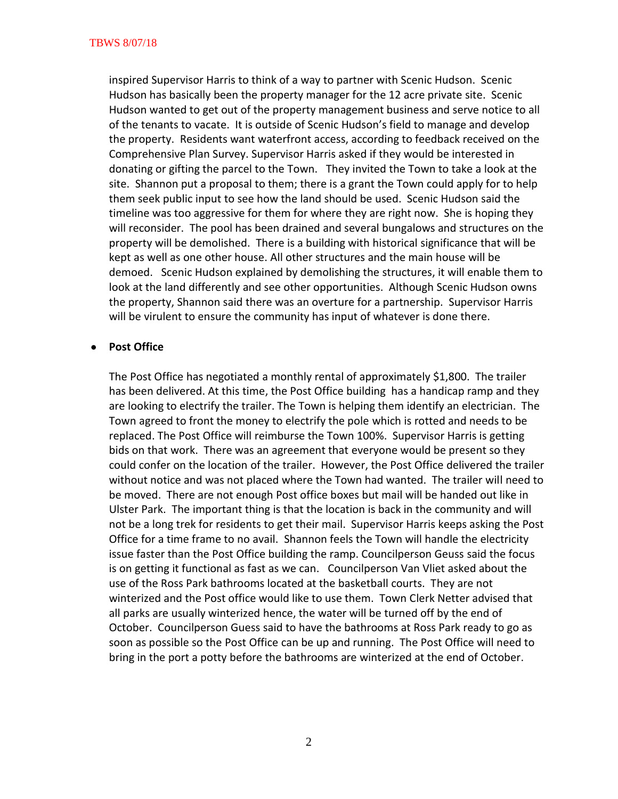inspired Supervisor Harris to think of a way to partner with Scenic Hudson. Scenic Hudson has basically been the property manager for the 12 acre private site. Scenic Hudson wanted to get out of the property management business and serve notice to all of the tenants to vacate. It is outside of Scenic Hudson's field to manage and develop the property. Residents want waterfront access, according to feedback received on the Comprehensive Plan Survey. Supervisor Harris asked if they would be interested in donating or gifting the parcel to the Town. They invited the Town to take a look at the site. Shannon put a proposal to them; there is a grant the Town could apply for to help them seek public input to see how the land should be used. Scenic Hudson said the timeline was too aggressive for them for where they are right now. She is hoping they will reconsider. The pool has been drained and several bungalows and structures on the property will be demolished. There is a building with historical significance that will be kept as well as one other house. All other structures and the main house will be demoed. Scenic Hudson explained by demolishing the structures, it will enable them to look at the land differently and see other opportunities. Although Scenic Hudson owns the property, Shannon said there was an overture for a partnership. Supervisor Harris will be virulent to ensure the community has input of whatever is done there.

### **Post Office**

The Post Office has negotiated a monthly rental of approximately \$1,800. The trailer has been delivered. At this time, the Post Office building has a handicap ramp and they are looking to electrify the trailer. The Town is helping them identify an electrician. The Town agreed to front the money to electrify the pole which is rotted and needs to be replaced. The Post Office will reimburse the Town 100%. Supervisor Harris is getting bids on that work. There was an agreement that everyone would be present so they could confer on the location of the trailer. However, the Post Office delivered the trailer without notice and was not placed where the Town had wanted. The trailer will need to be moved. There are not enough Post office boxes but mail will be handed out like in Ulster Park. The important thing is that the location is back in the community and will not be a long trek for residents to get their mail. Supervisor Harris keeps asking the Post Office for a time frame to no avail. Shannon feels the Town will handle the electricity issue faster than the Post Office building the ramp. Councilperson Geuss said the focus is on getting it functional as fast as we can. Councilperson Van Vliet asked about the use of the Ross Park bathrooms located at the basketball courts. They are not winterized and the Post office would like to use them. Town Clerk Netter advised that all parks are usually winterized hence, the water will be turned off by the end of October. Councilperson Guess said to have the bathrooms at Ross Park ready to go as soon as possible so the Post Office can be up and running. The Post Office will need to bring in the port a potty before the bathrooms are winterized at the end of October.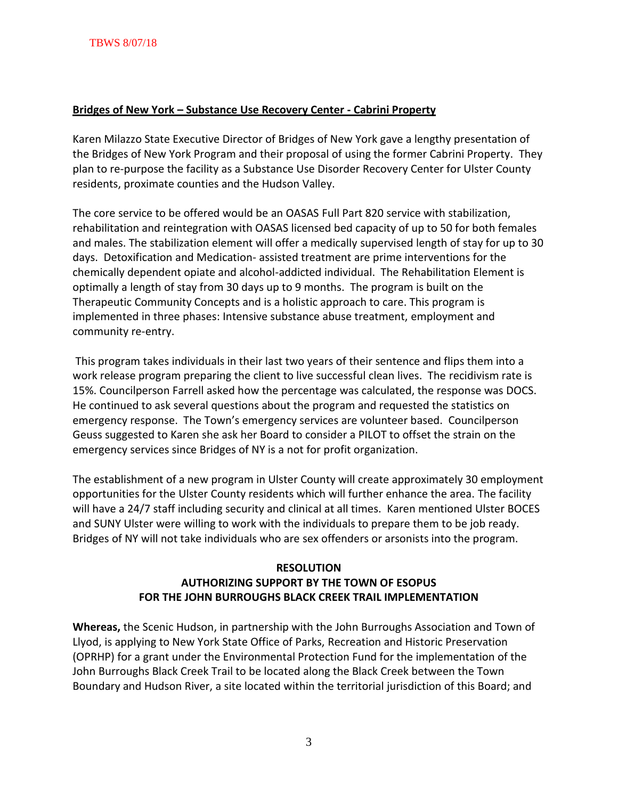## **Bridges of New York – Substance Use Recovery Center - Cabrini Property**

Karen Milazzo State Executive Director of Bridges of New York gave a lengthy presentation of the Bridges of New York Program and their proposal of using the former Cabrini Property. They plan to re-purpose the facility as a Substance Use Disorder Recovery Center for Ulster County residents, proximate counties and the Hudson Valley.

The core service to be offered would be an OASAS Full Part 820 service with stabilization, rehabilitation and reintegration with OASAS licensed bed capacity of up to 50 for both females and males. The stabilization element will offer a medically supervised length of stay for up to 30 days. Detoxification and Medication- assisted treatment are prime interventions for the chemically dependent opiate and alcohol-addicted individual. The Rehabilitation Element is optimally a length of stay from 30 days up to 9 months. The program is built on the Therapeutic Community Concepts and is a holistic approach to care. This program is implemented in three phases: Intensive substance abuse treatment, employment and community re-entry.

This program takes individuals in their last two years of their sentence and flips them into a work release program preparing the client to live successful clean lives. The recidivism rate is 15%. Councilperson Farrell asked how the percentage was calculated, the response was DOCS. He continued to ask several questions about the program and requested the statistics on emergency response. The Town's emergency services are volunteer based. Councilperson Geuss suggested to Karen she ask her Board to consider a PILOT to offset the strain on the emergency services since Bridges of NY is a not for profit organization.

The establishment of a new program in Ulster County will create approximately 30 employment opportunities for the Ulster County residents which will further enhance the area. The facility will have a 24/7 staff including security and clinical at all times. Karen mentioned Ulster BOCES and SUNY Ulster were willing to work with the individuals to prepare them to be job ready. Bridges of NY will not take individuals who are sex offenders or arsonists into the program.

# **RESOLUTION AUTHORIZING SUPPORT BY THE TOWN OF ESOPUS FOR THE JOHN BURROUGHS BLACK CREEK TRAIL IMPLEMENTATION**

**Whereas,** the Scenic Hudson, in partnership with the John Burroughs Association and Town of Llyod, is applying to New York State Office of Parks, Recreation and Historic Preservation (OPRHP) for a grant under the Environmental Protection Fund for the implementation of the John Burroughs Black Creek Trail to be located along the Black Creek between the Town Boundary and Hudson River, a site located within the territorial jurisdiction of this Board; and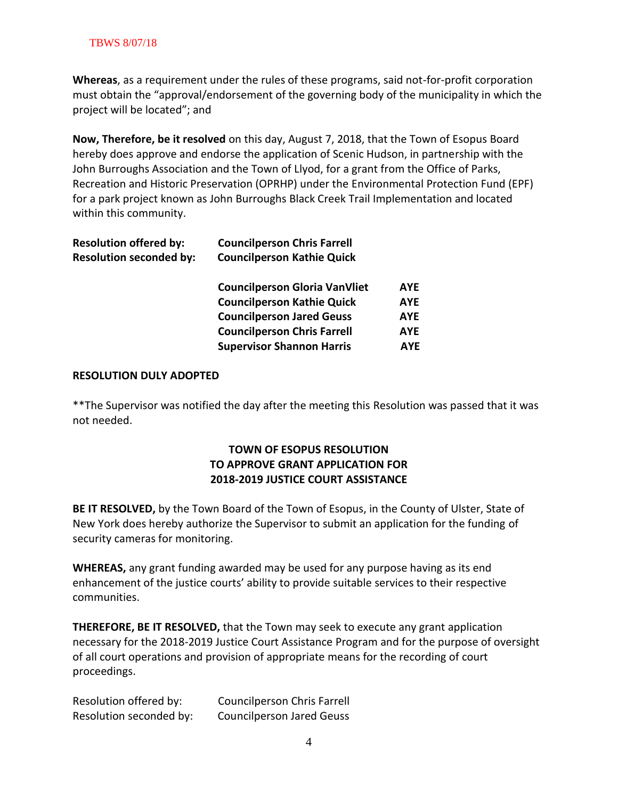## TBWS 8/07/18

**Whereas**, as a requirement under the rules of these programs, said not-for-profit corporation must obtain the "approval/endorsement of the governing body of the municipality in which the project will be located"; and

**Now, Therefore, be it resolved** on this day, August 7, 2018, that the Town of Esopus Board hereby does approve and endorse the application of Scenic Hudson, in partnership with the John Burroughs Association and the Town of Llyod, for a grant from the Office of Parks, Recreation and Historic Preservation (OPRHP) under the Environmental Protection Fund (EPF) for a park project known as John Burroughs Black Creek Trail Implementation and located within this community.

| <b>Resolution offered by:</b>  | <b>Councilperson Chris Farrell</b>   |            |
|--------------------------------|--------------------------------------|------------|
| <b>Resolution seconded by:</b> | <b>Councilperson Kathie Quick</b>    |            |
|                                | <b>Councilperson Gloria VanVliet</b> | <b>AYE</b> |
|                                | <b>Councilperson Kathie Quick</b>    | <b>AYE</b> |
|                                | <b>Councilperson Jared Geuss</b>     | <b>AYE</b> |
|                                | <b>Councilperson Chris Farrell</b>   | <b>AYE</b> |
|                                | <b>Supervisor Shannon Harris</b>     | <b>AYF</b> |
|                                |                                      |            |

### **RESOLUTION DULY ADOPTED**

\*\*The Supervisor was notified the day after the meeting this Resolution was passed that it was not needed.

# **TOWN OF ESOPUS RESOLUTION TO APPROVE GRANT APPLICATION FOR 2018-2019 JUSTICE COURT ASSISTANCE**

**BE IT RESOLVED,** by the Town Board of the Town of Esopus, in the County of Ulster, State of New York does hereby authorize the Supervisor to submit an application for the funding of security cameras for monitoring.

**WHEREAS,** any grant funding awarded may be used for any purpose having as its end enhancement of the justice courts' ability to provide suitable services to their respective communities.

**THEREFORE, BE IT RESOLVED,** that the Town may seek to execute any grant application necessary for the 2018-2019 Justice Court Assistance Program and for the purpose of oversight of all court operations and provision of appropriate means for the recording of court proceedings.

| Resolution offered by:  | <b>Councilperson Chris Farrell</b> |
|-------------------------|------------------------------------|
| Resolution seconded by: | <b>Councilperson Jared Geuss</b>   |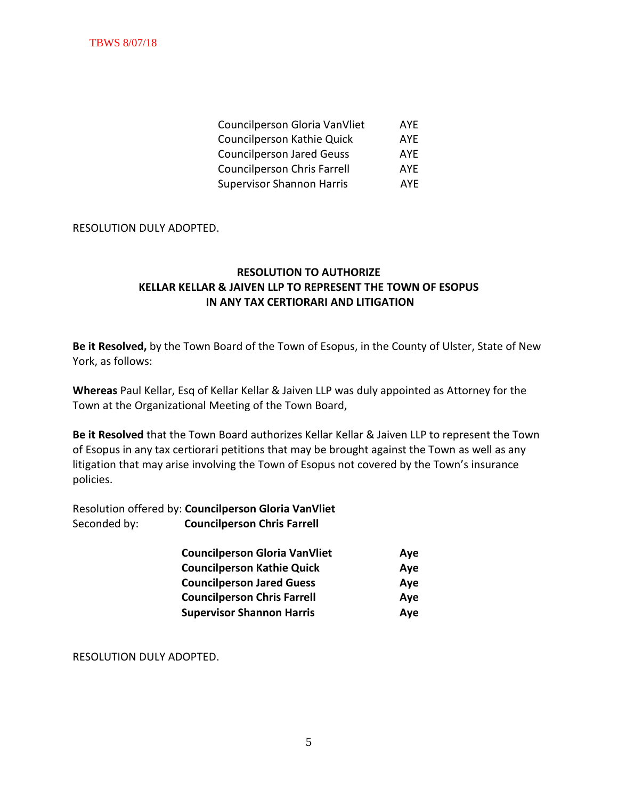| Councilperson Gloria VanVliet      | <b>AYF</b> |
|------------------------------------|------------|
| Councilperson Kathie Quick         | <b>AYF</b> |
| <b>Councilperson Jared Geuss</b>   | <b>AYF</b> |
| <b>Councilperson Chris Farrell</b> | <b>AYF</b> |
| <b>Supervisor Shannon Harris</b>   | AYF.       |

### RESOLUTION DULY ADOPTED.

# **RESOLUTION TO AUTHORIZE KELLAR KELLAR & JAIVEN LLP TO REPRESENT THE TOWN OF ESOPUS IN ANY TAX CERTIORARI AND LITIGATION**

**Be it Resolved,** by the Town Board of the Town of Esopus, in the County of Ulster, State of New York, as follows:

**Whereas** Paul Kellar, Esq of Kellar Kellar & Jaiven LLP was duly appointed as Attorney for the Town at the Organizational Meeting of the Town Board,

**Be it Resolved** that the Town Board authorizes Kellar Kellar & Jaiven LLP to represent the Town of Esopus in any tax certiorari petitions that may be brought against the Town as well as any litigation that may arise involving the Town of Esopus not covered by the Town's insurance policies.

Resolution offered by: **Councilperson Gloria VanVliet** Seconded by: **Councilperson Chris Farrell**

| <b>Councilperson Gloria VanVliet</b> | Aye |
|--------------------------------------|-----|
| <b>Councilperson Kathie Quick</b>    | Aye |
| <b>Councilperson Jared Guess</b>     | Aye |
| <b>Councilperson Chris Farrell</b>   | Aye |
| <b>Supervisor Shannon Harris</b>     | Aye |

RESOLUTION DULY ADOPTED.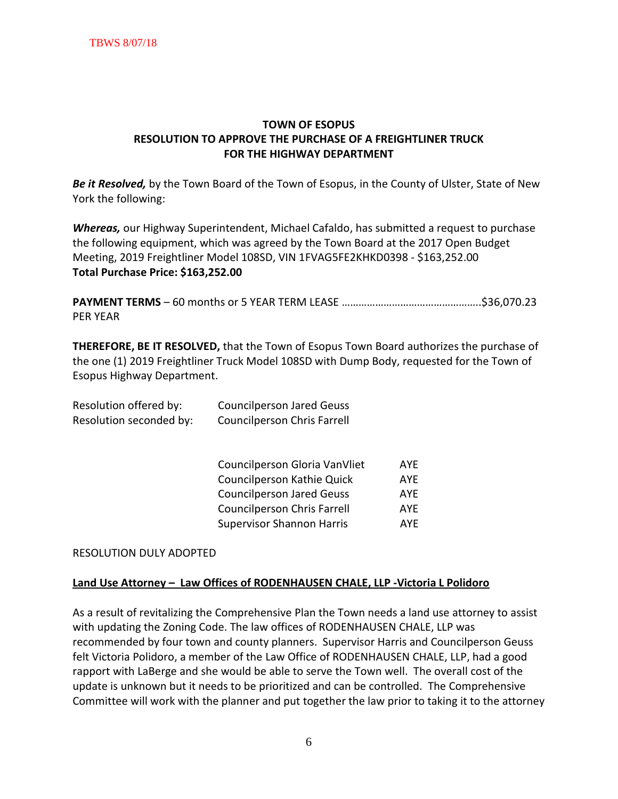# **TOWN OF ESOPUS RESOLUTION TO APPROVE THE PURCHASE OF A FREIGHTLINER TRUCK FOR THE HIGHWAY DEPARTMENT**

*Be it Resolved,* by the Town Board of the Town of Esopus, in the County of Ulster, State of New York the following:

*Whereas,* our Highway Superintendent, Michael Cafaldo, has submitted a request to purchase the following equipment, which was agreed by the Town Board at the 2017 Open Budget Meeting, 2019 Freightliner Model 108SD, VIN 1FVAG5FE2KHKD0398 - \$163,252.00 **Total Purchase Price: \$163,252.00** 

**PAYMENT TERMS** – 60 months or 5 YEAR TERM LEASE …………………………………………..\$36,070.23 PER YEAR

**THEREFORE, BE IT RESOLVED,** that the Town of Esopus Town Board authorizes the purchase of the one (1) 2019 Freightliner Truck Model 108SD with Dump Body, requested for the Town of Esopus Highway Department.

| Resolution offered by:  | <b>Councilperson Jared Geuss</b> |
|-------------------------|----------------------------------|
| Resolution seconded by: | Councilperson Chris Farrell      |

| Councilperson Gloria VanVliet      | <b>AYF</b> |
|------------------------------------|------------|
| Councilperson Kathie Quick         | <b>AYF</b> |
| <b>Councilperson Jared Geuss</b>   | <b>AYF</b> |
| <b>Councilperson Chris Farrell</b> | <b>AYF</b> |
| <b>Supervisor Shannon Harris</b>   | <b>AYF</b> |

#### RESOLUTION DULY ADOPTED

#### **Land Use Attorney – Law Offices of RODENHAUSEN CHALE, LLP -Victoria L Polidoro**

As a result of revitalizing the Comprehensive Plan the Town needs a land use attorney to assist with updating the Zoning Code. The law offices of RODENHAUSEN CHALE, LLP was recommended by four town and county planners. Supervisor Harris and Councilperson Geuss felt Victoria Polidoro, a member of the Law Office of RODENHAUSEN CHALE, LLP, had a good rapport with LaBerge and she would be able to serve the Town well. The overall cost of the update is unknown but it needs to be prioritized and can be controlled. The Comprehensive Committee will work with the planner and put together the law prior to taking it to the attorney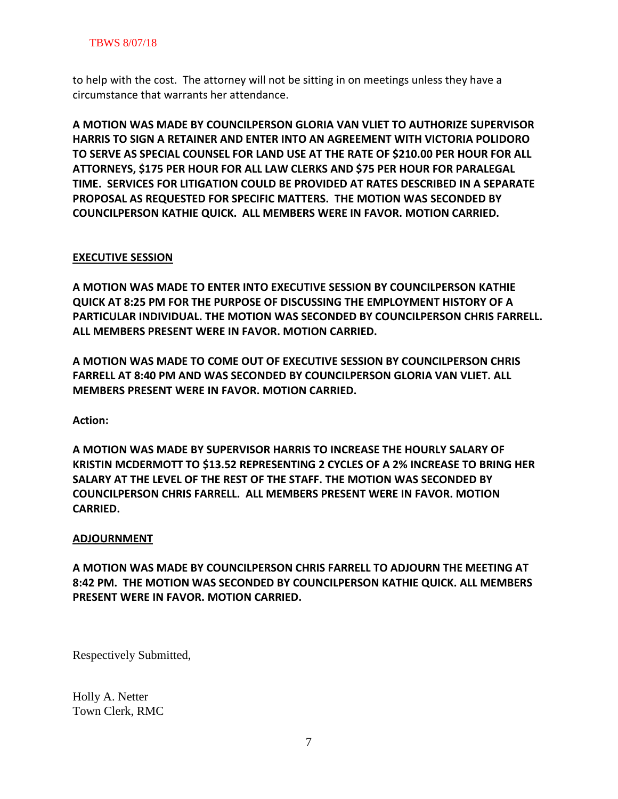to help with the cost. The attorney will not be sitting in on meetings unless they have a circumstance that warrants her attendance.

**A MOTION WAS MADE BY COUNCILPERSON GLORIA VAN VLIET TO AUTHORIZE SUPERVISOR HARRIS TO SIGN A RETAINER AND ENTER INTO AN AGREEMENT WITH VICTORIA POLIDORO TO SERVE AS SPECIAL COUNSEL FOR LAND USE AT THE RATE OF \$210.00 PER HOUR FOR ALL ATTORNEYS, \$175 PER HOUR FOR ALL LAW CLERKS AND \$75 PER HOUR FOR PARALEGAL TIME. SERVICES FOR LITIGATION COULD BE PROVIDED AT RATES DESCRIBED IN A SEPARATE PROPOSAL AS REQUESTED FOR SPECIFIC MATTERS. THE MOTION WAS SECONDED BY COUNCILPERSON KATHIE QUICK. ALL MEMBERS WERE IN FAVOR. MOTION CARRIED.** 

## **EXECUTIVE SESSION**

**A MOTION WAS MADE TO ENTER INTO EXECUTIVE SESSION BY COUNCILPERSON KATHIE QUICK AT 8:25 PM FOR THE PURPOSE OF DISCUSSING THE EMPLOYMENT HISTORY OF A PARTICULAR INDIVIDUAL. THE MOTION WAS SECONDED BY COUNCILPERSON CHRIS FARRELL. ALL MEMBERS PRESENT WERE IN FAVOR. MOTION CARRIED.**

**A MOTION WAS MADE TO COME OUT OF EXECUTIVE SESSION BY COUNCILPERSON CHRIS FARRELL AT 8:40 PM AND WAS SECONDED BY COUNCILPERSON GLORIA VAN VLIET. ALL MEMBERS PRESENT WERE IN FAVOR. MOTION CARRIED.**

**Action:**

**A MOTION WAS MADE BY SUPERVISOR HARRIS TO INCREASE THE HOURLY SALARY OF KRISTIN MCDERMOTT TO \$13.52 REPRESENTING 2 CYCLES OF A 2% INCREASE TO BRING HER SALARY AT THE LEVEL OF THE REST OF THE STAFF. THE MOTION WAS SECONDED BY COUNCILPERSON CHRIS FARRELL. ALL MEMBERS PRESENT WERE IN FAVOR. MOTION CARRIED.**

## **ADJOURNMENT**

**A MOTION WAS MADE BY COUNCILPERSON CHRIS FARRELL TO ADJOURN THE MEETING AT 8:42 PM. THE MOTION WAS SECONDED BY COUNCILPERSON KATHIE QUICK. ALL MEMBERS PRESENT WERE IN FAVOR. MOTION CARRIED.**

Respectively Submitted,

Holly A. Netter Town Clerk, RMC